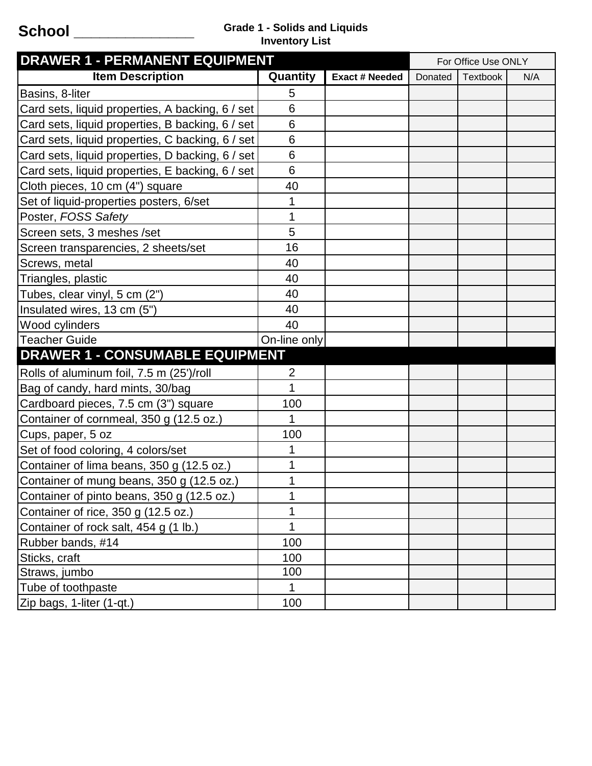## **School \_\_\_\_\_\_\_\_\_\_\_\_\_\_ Grade 1 - Solids and Liquids Inventory List**

| <b>DRAWER 1 - PERMANENT EQUIPMENT</b>            |                |                       | For Office Use ONLY |          |     |
|--------------------------------------------------|----------------|-----------------------|---------------------|----------|-----|
| <b>Item Description</b>                          | Quantity       | <b>Exact # Needed</b> | Donated             | Textbook | N/A |
| Basins, 8-liter                                  | 5              |                       |                     |          |     |
| Card sets, liquid properties, A backing, 6 / set | 6              |                       |                     |          |     |
| Card sets, liquid properties, B backing, 6 / set | 6              |                       |                     |          |     |
| Card sets, liquid properties, C backing, 6 / set | 6              |                       |                     |          |     |
| Card sets, liquid properties, D backing, 6 / set | 6              |                       |                     |          |     |
| Card sets, liquid properties, E backing, 6 / set | 6              |                       |                     |          |     |
| Cloth pieces, 10 cm (4") square                  | 40             |                       |                     |          |     |
| Set of liquid-properties posters, 6/set          |                |                       |                     |          |     |
| Poster, FOSS Safety                              | 1              |                       |                     |          |     |
| Screen sets, 3 meshes /set                       | 5              |                       |                     |          |     |
| Screen transparencies, 2 sheets/set              | 16             |                       |                     |          |     |
| Screws, metal                                    | 40             |                       |                     |          |     |
| Triangles, plastic                               | 40             |                       |                     |          |     |
| Tubes, clear vinyl, 5 cm (2")                    | 40             |                       |                     |          |     |
| Insulated wires, 13 cm (5")                      | 40             |                       |                     |          |     |
| Wood cylinders                                   | 40             |                       |                     |          |     |
| Teacher Guide                                    | On-line only   |                       |                     |          |     |
| <b>DRAWER 1 - CONSUMABLE EQUIPMENT</b>           |                |                       |                     |          |     |
| Rolls of aluminum foil, 7.5 m (25')/roll         | $\overline{2}$ |                       |                     |          |     |
| Bag of candy, hard mints, 30/bag                 | 1              |                       |                     |          |     |
| Cardboard pieces, 7.5 cm (3") square             | 100            |                       |                     |          |     |
| Container of cornmeal, 350 g (12.5 oz.)          | 1              |                       |                     |          |     |
| Cups, paper, 5 oz                                | 100            |                       |                     |          |     |
| Set of food coloring, 4 colors/set               |                |                       |                     |          |     |
| Container of lima beans, 350 g (12.5 oz.)        |                |                       |                     |          |     |
| Container of mung beans, 350 g (12.5 oz.)        |                |                       |                     |          |     |
| Container of pinto beans, 350 g (12.5 oz.)       | 1              |                       |                     |          |     |
| Container of rice, 350 g (12.5 oz.)              |                |                       |                     |          |     |
| Container of rock salt, 454 g (1 lb.)            | 1              |                       |                     |          |     |
| Rubber bands, #14                                | 100            |                       |                     |          |     |
| Sticks, craft                                    | 100            |                       |                     |          |     |
| Straws, jumbo                                    | 100            |                       |                     |          |     |
| Tube of toothpaste                               | $\mathbf{1}$   |                       |                     |          |     |
| Zip bags, 1-liter (1-qt.)                        | 100            |                       |                     |          |     |